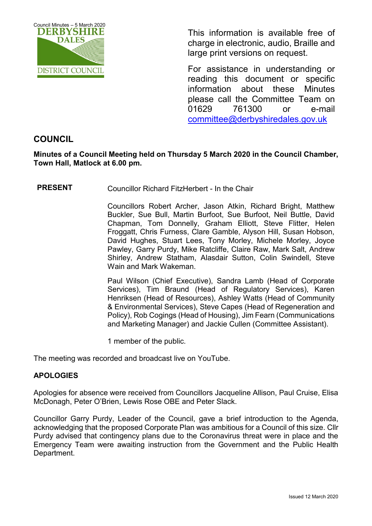

This information is available free of charge in electronic, audio, Braille and large print versions on request.

For assistance in understanding or reading this document or specific information about these Minutes please call the Committee Team on 01629 761300 or e-mail [committee@derbyshiredales.gov.uk](mailto:brian.evans@derbyshiredales.gov.uk) 

# **COUNCIL**

**Minutes of a Council Meeting held on Thursday 5 March 2020 in the Council Chamber, Town Hall, Matlock at 6.00 pm.**

**PRESENT** Councillor Richard FitzHerbert - In the Chair

Councillors Robert Archer, Jason Atkin, Richard Bright, Matthew Buckler, Sue Bull, Martin Burfoot, Sue Burfoot, Neil Buttle, David Chapman, Tom Donnelly, Graham Elliott, Steve Flitter, Helen Froggatt, Chris Furness, Clare Gamble, Alyson Hill, Susan Hobson, David Hughes, Stuart Lees, Tony Morley, Michele Morley, Joyce Pawley, Garry Purdy, Mike Ratcliffe, Claire Raw, Mark Salt, Andrew Shirley, Andrew Statham, Alasdair Sutton, Colin Swindell, Steve Wain and Mark Wakeman.

Paul Wilson (Chief Executive), Sandra Lamb (Head of Corporate Services), Tim Braund (Head of Regulatory Services), Karen Henriksen (Head of Resources), Ashley Watts (Head of Community & Environmental Services), Steve Capes (Head of Regeneration and Policy), Rob Cogings (Head of Housing), Jim Fearn (Communications and Marketing Manager) and Jackie Cullen (Committee Assistant).

1 member of the public.

The meeting was recorded and broadcast live on YouTube.

### **APOLOGIES**

Apologies for absence were received from Councillors Jacqueline Allison, Paul Cruise, Elisa McDonagh, Peter O'Brien, Lewis Rose OBE and Peter Slack.

Councillor Garry Purdy, Leader of the Council, gave a brief introduction to the Agenda, acknowledging that the proposed Corporate Plan was ambitious for a Council of this size. Cllr Purdy advised that contingency plans due to the Coronavirus threat were in place and the Emergency Team were awaiting instruction from the Government and the Public Health Department.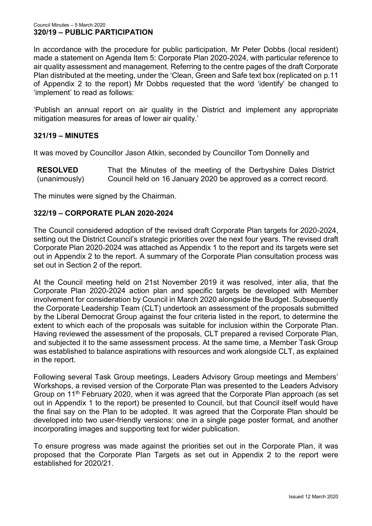In accordance with the procedure for public participation, Mr Peter Dobbs (local resident) made a statement on Agenda Item 5: Corporate Plan 2020-2024, with particular reference to air quality assessment and management. Referring to the centre pages of the draft Corporate Plan distributed at the meeting, under the 'Clean, Green and Safe text box (replicated on p.11 of Appendix 2 to the report) Mr Dobbs requested that the word 'identify' be changed to 'implement' to read as follows:

'Publish an annual report on air quality in the District and implement any appropriate mitigation measures for areas of lower air quality.'

# **321/19 – MINUTES**

It was moved by Councillor Jason Atkin, seconded by Councillor Tom Donnelly and

**RESOLVED** (unanimously) That the Minutes of the meeting of the Derbyshire Dales District Council held on 16 January 2020 be approved as a correct record.

The minutes were signed by the Chairman.

#### **322/19 – CORPORATE PLAN 2020-2024**

The Council considered adoption of the revised draft Corporate Plan targets for 2020-2024, setting out the District Council's strategic priorities over the next four years. The revised draft Corporate Plan 2020-2024 was attached as Appendix 1 to the report and its targets were set out in Appendix 2 to the report. A summary of the Corporate Plan consultation process was set out in Section 2 of the report.

At the Council meeting held on 21st November 2019 it was resolved, inter alia, that the Corporate Plan 2020-2024 action plan and specific targets be developed with Member involvement for consideration by Council in March 2020 alongside the Budget. Subsequently the Corporate Leadership Team (CLT) undertook an assessment of the proposals submitted by the Liberal Democrat Group against the four criteria listed in the report, to determine the extent to which each of the proposals was suitable for inclusion within the Corporate Plan. Having reviewed the assessment of the proposals, CLT prepared a revised Corporate Plan, and subjected it to the same assessment process. At the same time, a Member Task Group was established to balance aspirations with resources and work alongside CLT, as explained in the report.

Following several Task Group meetings, Leaders Advisory Group meetings and Members' Workshops, a revised version of the Corporate Plan was presented to the Leaders Advisory Group on 11th February 2020, when it was agreed that the Corporate Plan approach (as set out in Appendix 1 to the report) be presented to Council, but that Council itself would have the final say on the Plan to be adopted. It was agreed that the Corporate Plan should be developed into two user-friendly versions: one in a single page poster format, and another incorporating images and supporting text for wider publication.

To ensure progress was made against the priorities set out in the Corporate Plan, it was proposed that the Corporate Plan Targets as set out in Appendix 2 to the report were established for 2020/21.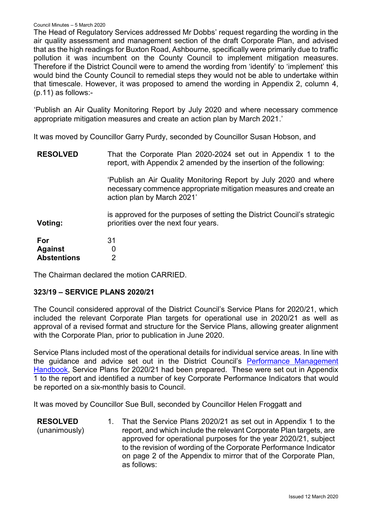#### Council Minutes – 5 March 2020

The Head of Regulatory Services addressed Mr Dobbs' request regarding the wording in the air quality assessment and management section of the draft Corporate Plan, and advised that as the high readings for Buxton Road, Ashbourne, specifically were primarily due to traffic pollution it was incumbent on the County Council to implement mitigation measures. Therefore if the District Council were to amend the wording from 'identify' to 'implement' this would bind the County Council to remedial steps they would not be able to undertake within that timescale. However, it was proposed to amend the wording in Appendix 2, column 4, (p.11) as follows:-

'Publish an Air Quality Monitoring Report by July 2020 and where necessary commence appropriate mitigation measures and create an action plan by March 2021.'

It was moved by Councillor Garry Purdy, seconded by Councillor Susan Hobson, and

**RESOLVED Voting: For Against Abstentions** That the Corporate Plan 2020-2024 set out in Appendix 1 to the report, with Appendix 2 amended by the insertion of the following: 'Publish an Air Quality Monitoring Report by July 2020 and where necessary commence appropriate mitigation measures and create an action plan by March 2021' is approved for the purposes of setting the District Council's strategic priorities over the next four years. 31 0 2

The Chairman declared the motion CARRIED.

### **323/19 – SERVICE PLANS 2020/21**

The Council considered approval of the District Council's Service Plans for 2020/21, which included the relevant Corporate Plan targets for operational use in 2020/21 as well as approval of a revised format and structure for the Service Plans, allowing greater alignment with the Corporate Plan, prior to publication in June 2020.

Service Plans included most of the operational details for individual service areas. In line with the guidance and advice set out in the District Council's [Performance Management](https://www.derbyshiredales.gov.uk/images/P/Perfomance_Management_Handbook_for_2020-21.pdf)  [Handbook,](https://www.derbyshiredales.gov.uk/images/P/Perfomance_Management_Handbook_for_2020-21.pdf) Service Plans for 2020/21 had been prepared. These were set out in Appendix 1 to the report and identified a number of key Corporate Performance Indicators that would be reported on a six-monthly basis to Council.

It was moved by Councillor Sue Bull, seconded by Councillor Helen Froggatt and

**RESOLVED** (unanimously) 1. That the Service Plans 2020/21 as set out in Appendix 1 to the report, and which include the relevant Corporate Plan targets, are approved for operational purposes for the year 2020/21, subject to the revision of wording of the Corporate Performance Indicator on page 2 of the Appendix to mirror that of the Corporate Plan, as follows: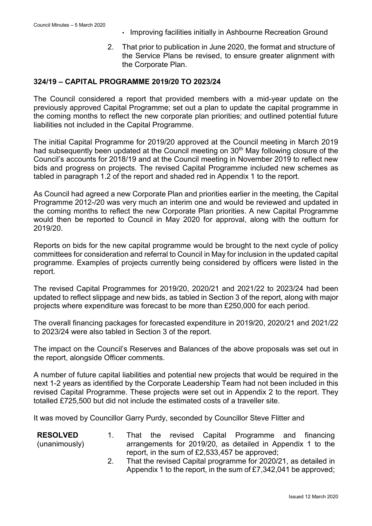- Improving facilities initially in Ashbourne Recreation Ground
- 2. That prior to publication in June 2020, the format and structure of the Service Plans be revised, to ensure greater alignment with the Corporate Plan.

#### **324/19 – CAPITAL PROGRAMME 2019/20 TO 2023/24**

The Council considered a report that provided members with a mid-year update on the previously approved Capital Programme; set out a plan to update the capital programme in the coming months to reflect the new corporate plan priorities; and outlined potential future liabilities not included in the Capital Programme.

The initial Capital Programme for 2019/20 approved at the Council meeting in March 2019 had subsequently been updated at the Council meeting on 30<sup>th</sup> May following closure of the Council's accounts for 2018/19 and at the Council meeting in November 2019 to reflect new bids and progress on projects. The revised Capital Programme included new schemes as tabled in paragraph 1.2 of the report and shaded red in Appendix 1 to the report.

As Council had agreed a new Corporate Plan and priorities earlier in the meeting, the Capital Programme 2012-/20 was very much an interim one and would be reviewed and updated in the coming months to reflect the new Corporate Plan priorities. A new Capital Programme would then be reported to Council in May 2020 for approval, along with the outturn for 2019/20.

Reports on bids for the new capital programme would be brought to the next cycle of policy committees for consideration and referral to Council in May for inclusion in the updated capital programme. Examples of projects currently being considered by officers were listed in the report.

The revised Capital Programmes for 2019/20, 2020/21 and 2021/22 to 2023/24 had been updated to reflect slippage and new bids, as tabled in Section 3 of the report, along with major projects where expenditure was forecast to be more than £250,000 for each period.

The overall financing packages for forecasted expenditure in 2019/20, 2020/21 and 2021/22 to 2023/24 were also tabled in Section 3 of the report.

The impact on the Council's Reserves and Balances of the above proposals was set out in the report, alongside Officer comments.

A number of future capital liabilities and potential new projects that would be required in the next 1-2 years as identified by the Corporate Leadership Team had not been included in this revised Capital Programme. These projects were set out in Appendix 2 to the report. They totalled £725,500 but did not include the estimated costs of a traveller site.

It was moved by Councillor Garry Purdy, seconded by Councillor Steve Flitter and

| <b>RESOLVED</b> |                                                 |  |  |  | That the revised Capital Programme and financing           |  |  |  |
|-----------------|-------------------------------------------------|--|--|--|------------------------------------------------------------|--|--|--|
| (unanimously)   |                                                 |  |  |  | arrangements for 2019/20, as detailed in Appendix 1 to the |  |  |  |
|                 | report, in the sum of $£2,533,457$ be approved; |  |  |  |                                                            |  |  |  |

2. That the revised Capital programme for 2020/21, as detailed in Appendix 1 to the report, in the sum of £7,342,041 be approved;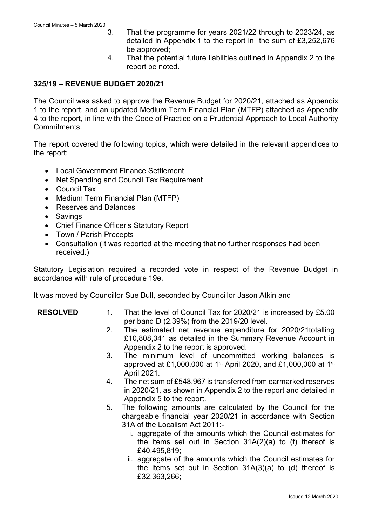- 3. That the programme for years 2021/22 through to 2023/24, as detailed in Appendix 1 to the report in the sum of £3,252,676 be approved;
- 4. That the potential future liabilities outlined in Appendix 2 to the report be noted.

#### **325/19 – REVENUE BUDGET 2020/21**

The Council was asked to approve the Revenue Budget for 2020/21, attached as Appendix 1 to the report, and an updated Medium Term Financial Plan (MTFP) attached as Appendix 4 to the report, in line with the Code of Practice on a Prudential Approach to Local Authority **Commitments** 

The report covered the following topics, which were detailed in the relevant appendices to the report:

- Local Government Finance Settlement
- Net Spending and Council Tax Requirement
- Council Tax
- Medium Term Financial Plan (MTFP)
- Reserves and Balances
- Savings
- Chief Finance Officer's Statutory Report
- Town / Parish Precepts
- Consultation (It was reported at the meeting that no further responses had been received.)

Statutory Legislation required a recorded vote in respect of the Revenue Budget in accordance with rule of procedure 19e.

It was moved by Councillor Sue Bull, seconded by Councillor Jason Atkin and

- **RESOLVED** 1. That the level of Council Tax for 2020/21 is increased by £5.00 per band D (2.39%) from the 2019/20 level.
	- 2. The estimated net revenue expenditure for 2020/21totalling £10,808,341 as detailed in the Summary Revenue Account in Appendix 2 to the report is approved.
	- 3. The minimum level of uncommitted working balances is approved at £1,000,000 at 1<sup>st</sup> April 2020, and £1,000,000 at 1<sup>st</sup> April 2021.
	- 4. The net sum of £548,967 is transferred from earmarked reserves in 2020/21, as shown in Appendix 2 to the report and detailed in Appendix 5 to the report.
	- 5. The following amounts are calculated by the Council for the chargeable financial year 2020/21 in accordance with Section 31A of the Localism Act 2011:
		- i. aggregate of the amounts which the Council estimates for the items set out in Section 31A(2)(a) to (f) thereof is £40,495,819;
		- ii. aggregate of the amounts which the Council estimates for the items set out in Section 31A(3)(a) to (d) thereof is £32,363,266;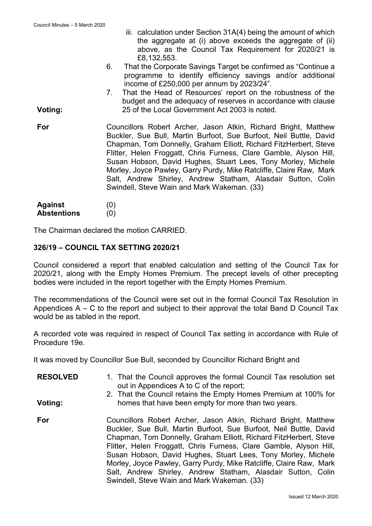**Voting:**

**Voting:**

- iii. calculation under Section 31A(4) being the amount of which the aggregate at (i) above exceeds the aggregate of (ii) above, as the Council Tax Requirement for 2020/21 is £8,132,553.
- 6. That the Corporate Savings Target be confirmed as "Continue a programme to identify efficiency savings and/or additional income of £250,000 per annum by 2023/24".
- 7. That the Head of Resources' report on the robustness of the budget and the adequacy of reserves in accordance with clause 25 of the Local Government Act 2003 is noted.
- **For** Councillors Robert Archer, Jason Atkin, Richard Bright, Matthew Buckler, Sue Bull, Martin Burfoot, Sue Burfoot, Neil Buttle, David Chapman, Tom Donnelly, Graham Elliott, Richard FitzHerbert, Steve Flitter, Helen Froggatt, Chris Furness, Clare Gamble, Alyson Hill, Susan Hobson, David Hughes, Stuart Lees, Tony Morley, Michele Morley, Joyce Pawley, Garry Purdy, Mike Ratcliffe, Claire Raw, Mark Salt, Andrew Shirley, Andrew Statham, Alasdair Sutton, Colin Swindell, Steve Wain and Mark Wakeman. (33)
- **Against Abstentions** (0) (0)

The Chairman declared the motion CARRIED.

### **326/19 – COUNCIL TAX SETTING 2020/21**

Council considered a report that enabled calculation and setting of the Council Tax for 2020/21, along with the Empty Homes Premium. The precept levels of other precepting bodies were included in the report together with the Empty Homes Premium.

The recommendations of the Council were set out in the formal Council Tax Resolution in Appendices A – C to the report and subject to their approval the total Band D Council Tax would be as tabled in the report.

A recorded vote was required in respect of Council Tax setting in accordance with Rule of Procedure 19e.

It was moved by Councillor Sue Bull, seconded by Councillor Richard Bright and

- **RESOLVED** 1. That the Council approves the formal Council Tax resolution set out in Appendices A to C of the report;
	- 2. That the Council retains the Empty Homes Premium at 100% for homes that have been empty for more than two years.
- **For** Councillors Robert Archer, Jason Atkin, Richard Bright, Matthew Buckler, Sue Bull, Martin Burfoot, Sue Burfoot, Neil Buttle, David Chapman, Tom Donnelly, Graham Elliott, Richard FitzHerbert, Steve Flitter, Helen Froggatt, Chris Furness, Clare Gamble, Alyson Hill, Susan Hobson, David Hughes, Stuart Lees, Tony Morley, Michele Morley, Joyce Pawley, Garry Purdy, Mike Ratcliffe, Claire Raw, Mark Salt, Andrew Shirley, Andrew Statham, Alasdair Sutton, Colin Swindell, Steve Wain and Mark Wakeman. (33)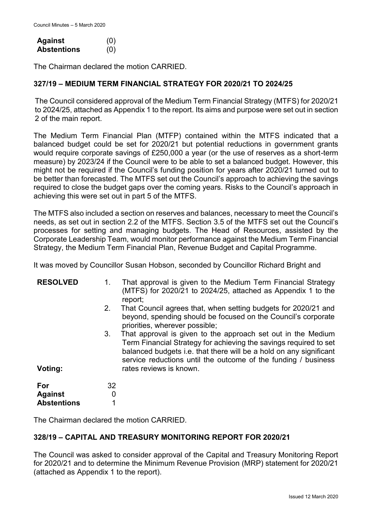| <b>Against</b>     | (0) |
|--------------------|-----|
| <b>Abstentions</b> | (0) |

The Chairman declared the motion CARRIED.

### **327/19 – MEDIUM TERM FINANCIAL STRATEGY FOR 2020/21 TO 2024/25**

The Council considered approval of the Medium Term Financial Strategy (MTFS) for 2020/21 to 2024/25, attached as Appendix 1 to the report. Its aims and purpose were set out in section 2 of the main report.

The Medium Term Financial Plan (MTFP) contained within the MTFS indicated that a balanced budget could be set for 2020/21 but potential reductions in government grants would require corporate savings of £250,000 a year (or the use of reserves as a short-term measure) by 2023/24 if the Council were to be able to set a balanced budget. However, this might not be required if the Council's funding position for years after 2020/21 turned out to be better than forecasted. The MTFS set out the Council's approach to achieving the savings required to close the budget gaps over the coming years. Risks to the Council's approach in achieving this were set out in part 5 of the MTFS.

The MTFS also included a section on reserves and balances, necessary to meet the Council's needs, as set out in section 2.2 of the MTFS. Section 3.5 of the MTFS set out the Council's processes for setting and managing budgets. The Head of Resources, assisted by the Corporate Leadership Team, would monitor performance against the Medium Term Financial Strategy, the Medium Term Financial Plan, Revenue Budget and Capital Programme.

It was moved by Councillor Susan Hobson, seconded by Councillor Richard Bright and

| <b>RESOLVED</b>    | 1. | That approval is given to the Medium Term Financial Strategy<br>(MTFS) for 2020/21 to 2024/25, attached as Appendix 1 to the<br>report;                                                                                                                                                              |
|--------------------|----|------------------------------------------------------------------------------------------------------------------------------------------------------------------------------------------------------------------------------------------------------------------------------------------------------|
|                    | 2. | That Council agrees that, when setting budgets for 2020/21 and<br>beyond, spending should be focused on the Council's corporate<br>priorities, wherever possible;                                                                                                                                    |
| Voting:            | 3. | That approval is given to the approach set out in the Medium<br>Term Financial Strategy for achieving the savings required to set<br>balanced budgets i.e. that there will be a hold on any significant<br>service reductions until the outcome of the funding / business<br>rates reviews is known. |
|                    |    |                                                                                                                                                                                                                                                                                                      |
| For                | 32 |                                                                                                                                                                                                                                                                                                      |
| <b>Against</b>     | 0  |                                                                                                                                                                                                                                                                                                      |
| <b>Abstentions</b> | 1  |                                                                                                                                                                                                                                                                                                      |

The Chairman declared the motion CARRIED.

### **328/19 – CAPITAL AND TREASURY MONITORING REPORT FOR 2020/21**

The Council was asked to consider approval of the Capital and Treasury Monitoring Report for 2020/21 and to determine the Minimum Revenue Provision (MRP) statement for 2020/21 (attached as Appendix 1 to the report).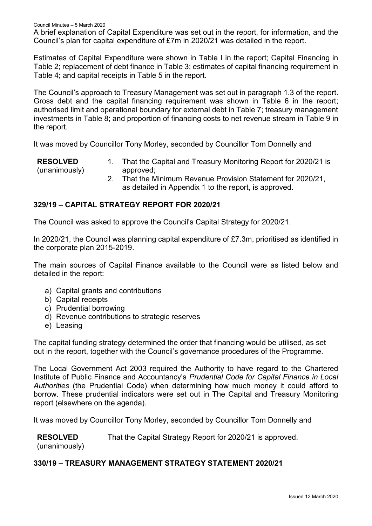A brief explanation of Capital Expenditure was set out in the report, for information, and the Council's plan for capital expenditure of £7m in 2020/21 was detailed in the report.

Estimates of Capital Expenditure were shown in Table I in the report; Capital Financing in Table 2; replacement of debt finance in Table 3; estimates of capital financing requirement in Table 4; and capital receipts in Table 5 in the report.

The Council's approach to Treasury Management was set out in paragraph 1.3 of the report. Gross debt and the capital financing requirement was shown in Table 6 in the report; authorised limit and operational boundary for external debt in Table 7; treasury management investments in Table 8; and proportion of financing costs to net revenue stream in Table 9 in the report.

It was moved by Councillor Tony Morley, seconded by Councillor Tom Donnelly and

**RESOLVED** (unanimously) 1. That the Capital and Treasury Monitoring Report for 2020/21 is approved;

2. That the Minimum Revenue Provision Statement for 2020/21, as detailed in Appendix 1 to the report, is approved.

### **329/19 – CAPITAL STRATEGY REPORT FOR 2020/21**

The Council was asked to approve the Council's Capital Strategy for 2020/21.

In 2020/21, the Council was planning capital expenditure of £7.3m, prioritised as identified in the corporate plan 2015-2019.

The main sources of Capital Finance available to the Council were as listed below and detailed in the report:

- a) Capital grants and contributions
- b) Capital receipts
- c) Prudential borrowing
- d) Revenue contributions to strategic reserves
- e) Leasing

The capital funding strategy determined the order that financing would be utilised, as set out in the report, together with the Council's governance procedures of the Programme.

The Local Government Act 2003 required the Authority to have regard to the Chartered Institute of Public Finance and Accountancy's *Prudential Code for Capital Finance in Local Authorities* (the Prudential Code) when determining how much money it could afford to borrow. These prudential indicators were set out in The Capital and Treasury Monitoring report (elsewhere on the agenda).

It was moved by Councillor Tony Morley, seconded by Councillor Tom Donnelly and

**RESOLVED** That the Capital Strategy Report for 2020/21 is approved.

(unanimously)

# **330/19 – TREASURY MANAGEMENT STRATEGY STATEMENT 2020/21**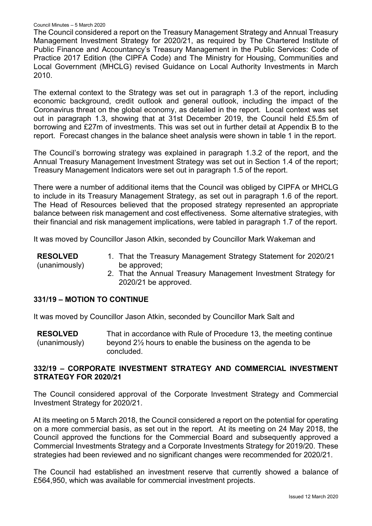The Council considered a report on the Treasury Management Strategy and Annual Treasury Management Investment Strategy for 2020/21, as required by The Chartered Institute of Public Finance and Accountancy's Treasury Management in the Public Services: Code of Practice 2017 Edition (the CIPFA Code) and The Ministry for Housing, Communities and Local Government (MHCLG) revised Guidance on Local Authority Investments in March 2010.

The external context to the Strategy was set out in paragraph 1.3 of the report, including economic background, credit outlook and general outlook, including the impact of the Coronavirus threat on the global economy, as detailed in the report. Local context was set out in paragraph 1.3, showing that at 31st December 2019, the Council held £5.5m of borrowing and £27m of investments. This was set out in further detail at Appendix B to the report. Forecast changes in the balance sheet analysis were shown in table 1 in the report.

The Council's borrowing strategy was explained in paragraph 1.3.2 of the report, and the Annual Treasury Management Investment Strategy was set out in Section 1.4 of the report; Treasury Management Indicators were set out in paragraph 1.5 of the report.

There were a number of additional items that the Council was obliged by CIPFA or MHCLG to include in its Treasury Management Strategy, as set out in paragraph 1.6 of the report. The Head of Resources believed that the proposed strategy represented an appropriate balance between risk management and cost effectiveness. Some alternative strategies, with their financial and risk management implications, were tabled in paragraph 1.7 of the report.

It was moved by Councillor Jason Atkin, seconded by Councillor Mark Wakeman and

| <b>RESOLVED</b> | 1. That the Treasury Management Strategy Statement for 2020/21 |
|-----------------|----------------------------------------------------------------|
| (unanimously)   | be approved;                                                   |
|                 | 2. That the Annual Treasury Management Investment Strategy for |

# **331/19 – MOTION TO CONTINUE**

It was moved by Councillor Jason Atkin, seconded by Councillor Mark Salt and

2020/21 be approved.

**RESOLVED** (unanimously) That in accordance with Rule of Procedure 13, the meeting continue beyond 2½ hours to enable the business on the agenda to be concluded.

# **332/19 – CORPORATE INVESTMENT STRATEGY AND COMMERCIAL INVESTMENT STRATEGY FOR 2020/21**

The Council considered approval of the Corporate Investment Strategy and Commercial Investment Strategy for 2020/21.

At its meeting on 5 March 2018, the Council considered a report on the potential for operating on a more commercial basis, as set out in the report. At its meeting on 24 May 2018, the Council approved the functions for the Commercial Board and subsequently approved a Commercial Investments Strategy and a Corporate Investments Strategy for 2019/20. These strategies had been reviewed and no significant changes were recommended for 2020/21.

The Council had established an investment reserve that currently showed a balance of £564,950, which was available for commercial investment projects.